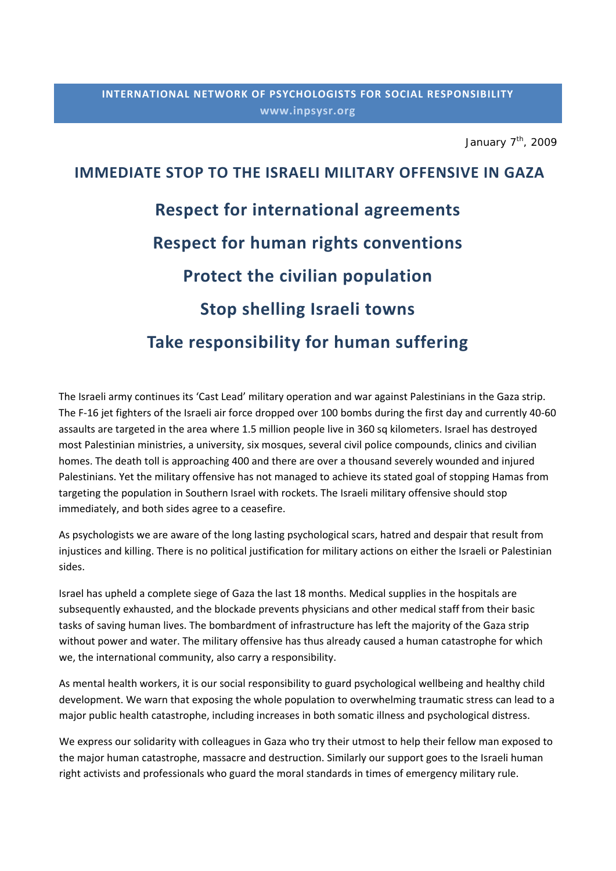January  $7<sup>th</sup>$ , 2009

## **IMMEDIATE STOP TO THE ISRAELI MILITARY OFFENSIVE IN GAZA Respect for international agreements Respect for human rights conventions Protect the civilian population Stop shelling Israeli towns Take responsibility for human suffering**

The Israeli army continues its 'Cast Lead' military operation and war against Palestinians in the Gaza strip. The F‐16 jet fighters of the Israeli air force dropped over 100 bombs during the first day and currently 40‐60 assaults are targeted in the area where 1.5 million people live in 360 sq kilometers. Israel has destroyed most Palestinian ministries, a university, six mosques, several civil police compounds, clinics and civilian homes. The death toll is approaching 400 and there are over a thousand severely wounded and injured Palestinians. Yet the military offensive has not managed to achieve its stated goal of stopping Hamas from targeting the population in Southern Israel with rockets. The Israeli military offensive should stop immediately, and both sides agree to a ceasefire.

As psychologists we are aware of the long lasting psychological scars, hatred and despair that result from injustices and killing. There is no political justification for military actions on either the Israeli or Palestinian sides.

Israel has upheld a complete siege of Gaza the last 18 months. Medical supplies in the hospitals are subsequently exhausted, and the blockade prevents physicians and other medical staff from their basic tasks of saving human lives. The bombardment of infrastructure has left the majority of the Gaza strip without power and water. The military offensive has thus already caused a human catastrophe for which we, the international community, also carry a responsibility.

As mental health workers, it is our social responsibility to guard psychological wellbeing and healthy child development. We warn that exposing the whole population to overwhelming traumatic stress can lead to a major public health catastrophe, including increases in both somatic illness and psychological distress.

We express our solidarity with colleagues in Gaza who try their utmost to help their fellow man exposed to the major human catastrophe, massacre and destruction. Similarly our support goes to the Israeli human right activists and professionals who guard the moral standards in times of emergency military rule.